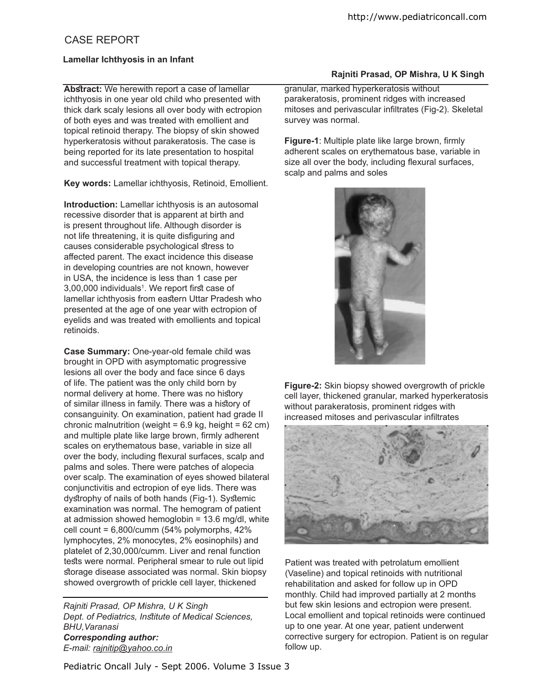# CASE REPORT

## **Lamellar Ichthyosis in an Infant**

**Abstract:** We herewith report a case of lamellar ichthyosis in one year old child who presented with thick dark scaly lesions all over body with ectropion of both eyes and was treated with emollient and topical retinoid therapy. The biopsy of skin showed hyperkeratosis without parakeratosis. The case is being reported for its late presentation to hospital and successful treatment with topical therapy.

**Key words:** Lamellar ichthyosis, Retinoid, Emollient.

**Introduction:** Lamellar ichthyosis is an autosomal recessive disorder that is apparent at birth and is present throughout life. Although disorder is not life threatening, it is quite disfiguring and causes considerable psychological stress to afected parent. The exact incidence this disease in developing countries are not known, however in USA, the incidence is less than 1 case per 3,00,000 individuals<sup>1</sup>. We report first case of lamellar ichthyosis from eastern Uttar Pradesh who presented at the age of one year with ectropion of eyelids and was treated with emollients and topical retinoids.

**Case Summary:** One-year-old female child was brought in OPD with asymptomatic progressive lesions all over the body and face since 6 days of life. The patient was the only child born by normal delivery at home. There was no history of similar illness in family. There was a history of consanguinity. On examination, patient had grade II chronic malnutrition (weight =  $6.9$  kg, height =  $62$  cm) and multiple plate like large brown, firmly adherent scales on erythematous base, variable in size all over the body, including flexural surfaces, scalp and palms and soles. There were patches of alopecia over scalp. The examination of eyes showed bilateral conjunctivitis and ectropion of eye lids. There was dystrophy of nails of both hands (Fig-1). Systemic examination was normal. The hemogram of patient at admission showed hemoglobin = 13.6 mg/dl, white cell count = 6,800/cumm (54% polymorphs, 42% lymphocytes, 2% monocytes, 2% eosinophils) and platelet of 2,30,000/cumm. Liver and renal function tests were normal. Peripheral smear to rule out lipid storage disease associated was normal. Skin biopsy showed overgrowth of prickle cell layer, thickened

*Rajniti Prasad, OP Mishra, U K Singh Dept. of Pediatrics, Intitute of Medical Sciences, BHU,Varanasi Corresponding author: E-mail: rajnitip@yahoo.co.in* 

## **Rajniti Prasad, OP Mishra, U K Singh**

granular, marked hyperkeratosis without parakeratosis, prominent ridges with increased mitoses and perivascular infiltrates (Fig-2). Skeletal survey was normal.

**Figure-1**: Multiple plate like large brown, firmly adherent scales on erythematous base, variable in size all over the body, including flexural surfaces, scalp and palms and soles



**Figure-2:** Skin biopsy showed overgrowth of prickle cell layer, thickened granular, marked hyperkeratosis without parakeratosis, prominent ridges with increased mitoses and perivascular infiltrates



Patient was treated with petrolatum emollient (Vaseline) and topical retinoids with nutritional rehabilitation and asked for follow up in OPD monthly. Child had improved partially at 2 months but few skin lesions and ectropion were present. Local emollient and topical retinoids were continued up to one year. At one year, patient underwent corrective surgery for ectropion. Patient is on regular follow up.